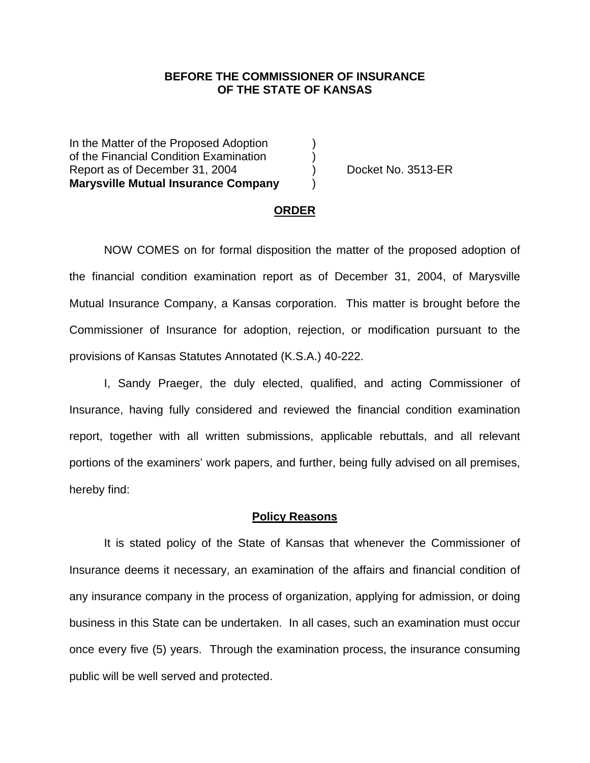### **BEFORE THE COMMISSIONER OF INSURANCE OF THE STATE OF KANSAS**

In the Matter of the Proposed Adoption of the Financial Condition Examination ) Report as of December 31, 2004 (a) Docket No. 3513-ER **Marysville Mutual Insurance Company** )

#### **ORDER**

 NOW COMES on for formal disposition the matter of the proposed adoption of the financial condition examination report as of December 31, 2004, of Marysville Mutual Insurance Company, a Kansas corporation. This matter is brought before the Commissioner of Insurance for adoption, rejection, or modification pursuant to the provisions of Kansas Statutes Annotated (K.S.A.) 40-222.

 I, Sandy Praeger, the duly elected, qualified, and acting Commissioner of Insurance, having fully considered and reviewed the financial condition examination report, together with all written submissions, applicable rebuttals, and all relevant portions of the examiners' work papers, and further, being fully advised on all premises, hereby find:

#### **Policy Reasons**

 It is stated policy of the State of Kansas that whenever the Commissioner of Insurance deems it necessary, an examination of the affairs and financial condition of any insurance company in the process of organization, applying for admission, or doing business in this State can be undertaken. In all cases, such an examination must occur once every five (5) years. Through the examination process, the insurance consuming public will be well served and protected.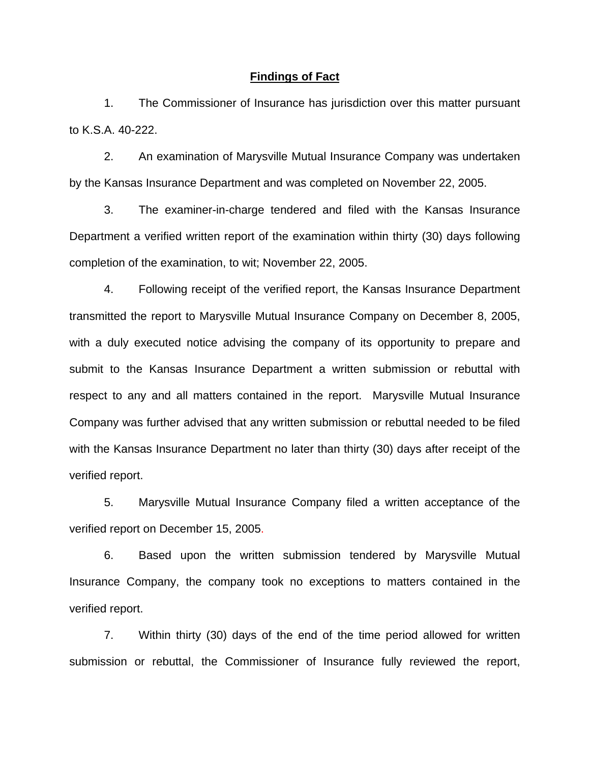### **Findings of Fact**

 1. The Commissioner of Insurance has jurisdiction over this matter pursuant to K.S.A. 40-222.

 2. An examination of Marysville Mutual Insurance Company was undertaken by the Kansas Insurance Department and was completed on November 22, 2005.

 3. The examiner-in-charge tendered and filed with the Kansas Insurance Department a verified written report of the examination within thirty (30) days following completion of the examination, to wit; November 22, 2005.

 4. Following receipt of the verified report, the Kansas Insurance Department transmitted the report to Marysville Mutual Insurance Company on December 8, 2005, with a duly executed notice advising the company of its opportunity to prepare and submit to the Kansas Insurance Department a written submission or rebuttal with respect to any and all matters contained in the report. Marysville Mutual Insurance Company was further advised that any written submission or rebuttal needed to be filed with the Kansas Insurance Department no later than thirty (30) days after receipt of the verified report.

 5. Marysville Mutual Insurance Company filed a written acceptance of the verified report on December 15, 2005.

6. Based upon the written submission tendered by Marysville Mutual Insurance Company, the company took no exceptions to matters contained in the verified report.

 7. Within thirty (30) days of the end of the time period allowed for written submission or rebuttal, the Commissioner of Insurance fully reviewed the report,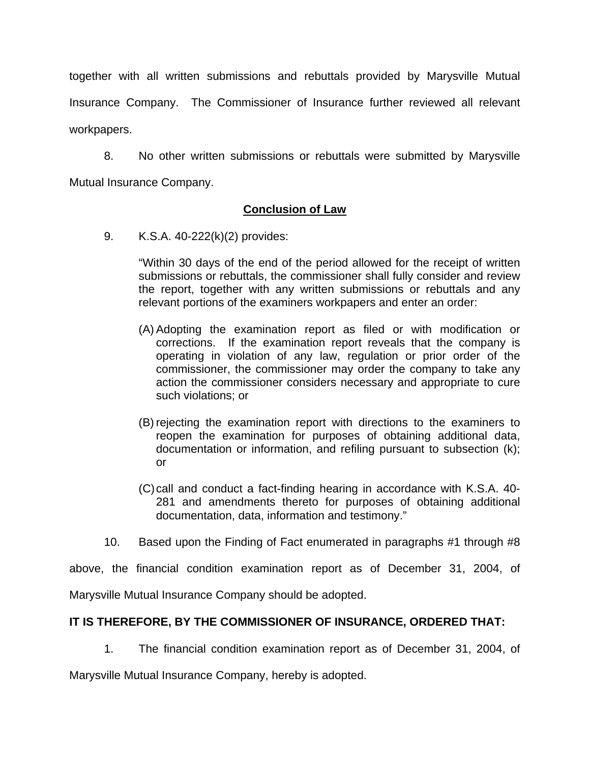together with all written submissions and rebuttals provided by Marysville Mutual Insurance Company. The Commissioner of Insurance further reviewed all relevant workpapers.

 8. No other written submissions or rebuttals were submitted by Marysville Mutual Insurance Company.

## **Conclusion of Law**

9. K.S.A. 40-222(k)(2) provides:

"Within 30 days of the end of the period allowed for the receipt of written submissions or rebuttals, the commissioner shall fully consider and review the report, together with any written submissions or rebuttals and any relevant portions of the examiners workpapers and enter an order:

- (A) Adopting the examination report as filed or with modification or corrections. If the examination report reveals that the company is operating in violation of any law, regulation or prior order of the commissioner, the commissioner may order the company to take any action the commissioner considers necessary and appropriate to cure such violations; or
- (B) rejecting the examination report with directions to the examiners to reopen the examination for purposes of obtaining additional data, documentation or information, and refiling pursuant to subsection (k); or
- (C) call and conduct a fact-finding hearing in accordance with K.S.A. 40- 281 and amendments thereto for purposes of obtaining additional documentation, data, information and testimony."
- 10. Based upon the Finding of Fact enumerated in paragraphs #1 through #8

above, the financial condition examination report as of December 31, 2004, of

Marysville Mutual Insurance Company should be adopted.

# **IT IS THEREFORE, BY THE COMMISSIONER OF INSURANCE, ORDERED THAT:**

1. The financial condition examination report as of December 31, 2004, of

Marysville Mutual Insurance Company, hereby is adopted.